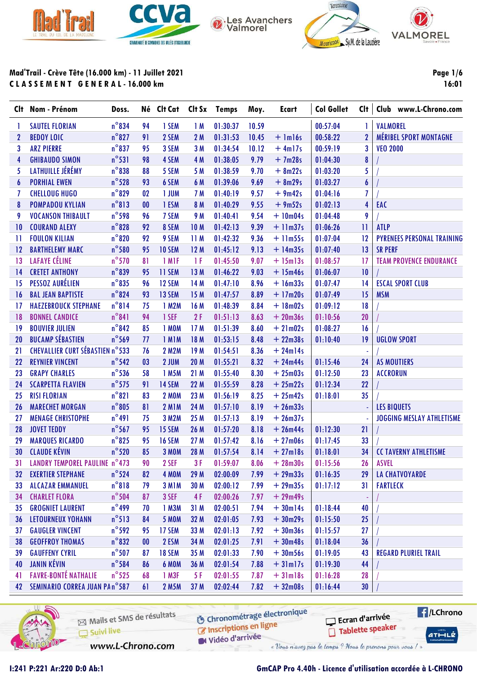







Mad'Trail - Crève Tête (16.000 km) - 11 Juillet 2021 CLASSEMENT GENERAL-16.000 km

**Page 1/6** 16:01

| Clt | Nom - Prénom                           | Doss.           |                   | Né Clt Cat    |                 | Clt Sx Temps | Moy.  | <b>Ecart</b> | <b>Col Gollet</b> | Cl <sub>t</sub>  | Club www.L-Chrono.com             |
|-----|----------------------------------------|-----------------|-------------------|---------------|-----------------|--------------|-------|--------------|-------------------|------------------|-----------------------------------|
| 1   | <b>SAUTEL FLORIAN</b>                  | $n^{\circ}834$  | 94                | 1 SEM         | 1M              | 01:30:37     | 10.59 |              | 00:57:04          | -1               | <b>VALMOREL</b>                   |
| 2   | <b>BEDOY LOIC</b>                      | $n^{\circ}827$  | 91                | 2 SEM         | 2M              | 01:31:53     | 10.45 | $+$ $lm16s$  | 00:58:22          | $\boldsymbol{2}$ | <b>MÉRIBEL SPORT MONTAGNE</b>     |
| 3   | <b>ARZ PIERRE</b>                      | $n^{\circ}837$  | 95                | 3 SEM         | 3M              | 01:34:54     | 10.12 | $+4ml7s$     | 00:59:19          | 3                | <b>VEO 2000</b>                   |
| 4   | <b>GHIBAUDO SIMON</b>                  | $n^{\circ}531$  | 98                | 4 SEM         | 4 M             | 01:38:05     | 9.79  | $+7m28s$     | 01:04:30          | $\pmb{8}$        |                                   |
| 5   | LATHUILLE JÉRÉMY                       | $n^{\circ}$ 838 | 88                | 5 SEM         | 5 M             | 01:38:59     | 9.70  | $+ 8m22s$    | 01:03:20          | 5                |                                   |
| 6   | <b>PORHIAL EWEN</b>                    | $n^{\circ}$ 528 | 93                | 6 SEM         | 6 M             | 01:39:06     | 9.69  | $+ 8m29s$    | 01:03:27          | $\boldsymbol{6}$ |                                   |
| 7   | <b>CHELLOUG HUGO</b>                   | $n^{\circ}$ 829 | 02                | 1 JUM         | 7 M             | 01:40:19     | 9.57  | $+9m42s$     | 01:04:16          | 7                |                                   |
| 8   | <b>POMPADOU KYLIAN</b>                 | $n^{\circ}813$  | $\boldsymbol{00}$ | 1 ESM         | 8 M             | 01:40:29     | 9.55  | $+9m52s$     | 01:02:13          | 4                | EAC                               |
| 9   | <b>VOCANSON THIBAULT</b>               | $n^{\circ}$ 598 | 96                | 7 SEM         | <b>9 M</b>      | 01:40:41     | 9.54  | $+10m04s$    | 01:04:48          | 9                |                                   |
| 10  | <b>COURAND ALEXY</b>                   | $n^{\circ}828$  | 92                | 8 SEM         | <b>10 M</b>     | 01:42:13     | 9.39  | $+11m37s$    | 01:06:26          | $\mathbf{H}$     | <b>ATLP</b>                       |
| -11 | <b>FOULON KILIAN</b>                   | $n^{\circ}820$  | 92                | 9 SEM         | 11M             | 01:42:32     | 9.36  | $+11m55s$    | 01:07:04          | 12               | <b>PYRENEES PERSONAL TRAINING</b> |
| 12  | <b>BARTHELEMY MARC</b>                 | $n^{\circ}$ 580 | 95                | <b>10 SEM</b> | 12 M            | 01:45:12     | 9.13  | $+ 14m35s$   | 01:07:40          | 13               | <b>SR PERF</b>                    |
| 13  | <b>LAFAYE CÉLINE</b>                   | $n^{\circ}570$  | 81                | 1 MIF         | 1 F             | 01:45:50     | 9.07  | $+ 15m13s$   | 01:08:57          | 17               | <b>TEAM PROVENCE ENDURANCE</b>    |
| 14  | <b>CRETET ANTHONY</b>                  | $n^{\circ}839$  | 95                | <b>11 SEM</b> | 13 M            | 01:46:22     | 9.03  | $+ 15m46s$   | 01:06:07          | 10               |                                   |
| 15  | PESSOZ AURÉLIEN                        | $n^{\circ}835$  | 96                | <b>12 SEM</b> | 14 M            | 01:47:10     | 8.96  | $+ 16m33s$   | 01:07:47          | 14               | <b>ESCAL SPORT CLUB</b>           |
| 16  | <b>BAL JEAN BAPTISTE</b>               | $n^{\circ}$ 824 | 93                | 13 SEM        | 15 M            | 01:47:57     | 8.89  | $+17m20s$    | 01:07:49          | 15               | <b>MSM</b>                        |
| -17 | <b>HAEZEBROUCK STEPHANE</b>            | $n^{\circ}814$  | 75                | 1 M2M         | 16M             | 01:48:39     | 8.84  | $+ 18m02s$   | 01:09:12          | 18               |                                   |
| 18  | <b>BONNEL CANDICE</b>                  | $n^{\circ}841$  | 94                | 1 SEF         | 2F              | 01:51:13     | 8.63  | $+20m36s$    | 01:10:56          | 20               |                                   |
| 19  | <b>BOUVIER JULIEN</b>                  | $n^{\circ}842$  | 85                | 1 MOM         | 17M             | 01:51:39     | 8.60  | $+21m02s$    | 01:08:27          | 16               |                                   |
| 20  | <b>BUCAMP SÉBASTIEN</b>                | $n^{\circ}$ 569 | 77                | 1 MIM         | 18 M            | 01:53:15     | 8.48  | $+22m38s$    | 01:10:40          | 19               | <b>UGLOW SPORT</b>                |
| 21  | <b>CHEVALLIER CURT SÉBASTIEN n°533</b> |                 | 76                | <b>2 M2M</b>  | 19 <sub>M</sub> | 01:54:51     | 8.36  | $+ 24ml4s$   |                   |                  |                                   |
| 22  | <b>REYNIER VINCENT</b>                 | $n^{\circ}$ 542 | 03                | 2 JUM         | 20 M            | 01:55:21     | 8.32  | $+24m44s$    | 01:15:46          | 24               | <b>AS MOUTIERS</b>                |
| 23  | <b>GRAPY CHARLES</b>                   | $n^{\circ}$ 536 | 58                | 1 M5M         | 21M             | 01:55:40     | 8.30  | $+25m03s$    | 01:12:50          | 23               | <b>ACCRORUN</b>                   |
| 24  | <b>SCARPETTA FLAVIEN</b>               | $n^{\circ}$ 575 | 91                | 14 SEM        | 22 M            | 01:55:59     | 8.28  | $+25m22s$    | 01:12:34          | 22               |                                   |
| 25  | <b>RISI FLORIAN</b>                    | $n^{\circ}821$  | 83                | <b>2 MOM</b>  | 23 M            | 01:56:19     | 8.25  | $+25m42s$    | 01:18:01          | 35               |                                   |
| 26  | <b>MARECHET MORGAN</b>                 | $n^{\circ}805$  | 81                | <b>2 M1M</b>  | 24 M            | 01:57:10     | 8.19  | $+26m33s$    |                   |                  | <b>LES BIQUETS</b>                |
| 27  | <b>MENAGE CHRISTOPHE</b>               | $n^{\circ}491$  | 75                | 3 M2M         | 25 M            | 01:57:13     | 8.19  | $+26m37s$    |                   |                  | <b>JOGGING MESLAY ATHLETISME</b>  |
| 28  | <b>JOVET TEDDY</b>                     | $n^{\circ}$ 567 | 95                | 15 SEM        | 26 M            | 01:57:20     | 8.18  | $+26m44s$    | 01:12:30          | 21               |                                   |
| 29  | <b>MARQUES RICARDO</b>                 | $n^{\circ}$ 825 | 95                | <b>16 SEM</b> | 27 M            | 01:57:42     | 8.16  | $+27m06s$    | 01:17:45          | 33               |                                   |
| 30  | <b>CLAUDE KÉVIN</b>                    | $n^{\circ}$ 520 | 85                | <b>3 MOM</b>  | 28 M            | 01:57:54     | 8.14  | $+27$ ml8s   | 01:18:01          | 34               | <b>CC TAVERNY ATHLETISME</b>      |
| 31  | LANDRY TEMPOREL PAULINE n°473          |                 | 90                | 2 SEF         | 3 F             | 01:59:07     | 8.06  | $+28m30s$    | 01:15:56          | 26               | <b>ASVEL</b>                      |
| 32  | <b>EXERTIER STEPHANE</b>               | $n^{\circ}$ 524 | 82                | <b>4 MOM</b>  | 29 M            | 02:00:09     | 7.99  | $+29m33s$    | 01:16:35          | 29               | <b>LA CHATVOYARDE</b>             |
| 33  | <b>ALCAZAR EMMANUEL</b>                | $n^{\circ}818$  | 79                | 3 MIM         | 30 M            | 02:00:12     | 7.99  | $+29m35s$    | 01:17:12          | 31               | <b>FARTLECK</b>                   |
| 34  | <b>CHARLET FLORA</b>                   | $n^{\circ}$ 504 | 87                | 3 SEF         | 4 F             | 02:00:26     | 7.97  | $+29m49s$    |                   |                  |                                   |
| 35  | <b>GROGNIET LAURENT</b>                | $n^{\circ}$ 499 | 70                | $1$ M $3M$    | 31 M            | 02:00:51     | 7.94  | $+30$ ml4s   | 01:18:44          | 40               |                                   |
| 36  | LETOURNEUX YOHANN                      | $n^{\circ}513$  | 84                | <b>5 MOM</b>  | 32 M            | 02:01:05     | 7.93  | $+30m29s$    | 01:15:50          | 25               |                                   |
| 37  | <b>GAUGLER VINCENT</b>                 | $n^{\circ}$ 592 | 95                | 17 SEM        | 33 M            | 02:01:13     | 7.92  | $+30m36s$    | 01:15:57          | 27               |                                   |
| 38  | <b>GEOFFROY THOMAS</b>                 | $n^{\circ}832$  | $\bf{00}$         | 2 ESM         | 34 M            | 02:01:25     | 7.91  | $+30m48s$    | 01:18:04          | 36               |                                   |
| 39  | <b>GAUFFENY CYRIL</b>                  | $n^{\circ}$ 507 | 87                | <b>18 SEM</b> | 35 M            | 02:01:33     | 7.90  | $+30m56s$    | 01:19:05          | 43               | <b>REGARD PLURIEL TRAIL</b>       |
| 40  | <b>JANIN KÉVIN</b>                     | $n^{\circ}$ 584 | 86                | 6 MOM         | 36 M            | 02:01:54     | 7.88  | $+31$ ml7s   | 01:19:30          | 44               |                                   |
| 41  | <b>FAVRE-BONTÉ NATHALIE</b>            | $n^{\circ}$ 525 | 68                | 1 M3F         | 5F              | 02:01:55     | 7.87  | $+31ml8s$    | 01:16:28          | 28               |                                   |
| 42  | <b>SEMINARIO CORREA JUAN PAn°587</b>   |                 | 61                | <b>2 M5M</b>  | 37 M            | 02:02:44     | 7.82  | $+32m08s$    | 01:16:44          | 30               |                                   |
|     |                                        |                 |                   |               |                 |              |       |              |                   |                  |                                   |



Mails et SMS de résultats Suivi live

**6** Chronométrage électronique Inscriptions en ligne

 $H/LChrono$ 

 $ATHLZ$ 

www.L-Chrono.com

Tablette speaker Vidéo d'arrivée « Vous n'avez pas le temps ? Nous le prenons pour vous / »

Ecran d'arrivée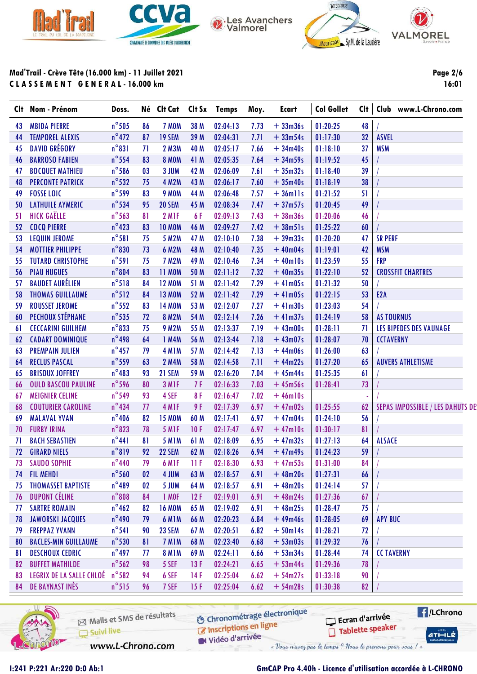







Page 2/6

16:01

Mad'Trail - Crève Tête (16.000 km) - 11 Juillet 2021 CLASSEMENT GENERAL-16.000 km

| <b>MBIDA PIERRE</b><br><b>TEMPOREL ALEXIS</b><br><b>DAVID GRÉGORY</b><br><b>BARROSO FABIEN</b><br><b>BOCQUET MATHIEU</b><br><b>PERCONTE PATRICK</b> | $n^{\circ}$ 505<br>$n^{\circ}472$<br>$n^{\circ}831$<br>$n^{\circ}$ 554                                                                                                                                                      | 86<br>87<br>71                                                                                                                                                                                                                                                                                                                                                                | 7 MOM<br>19 SEM                                                            | 38 M                                                                                                                                                                                             | 02:04:13                                                                                                              | 7.73                                                                                                                                                                             | $+33m36s$                                                                                                                    | 01:20:25                                                                                                                                                                                                                    | 48                                                                                                                                                                                                                   |                                                                                        |
|-----------------------------------------------------------------------------------------------------------------------------------------------------|-----------------------------------------------------------------------------------------------------------------------------------------------------------------------------------------------------------------------------|-------------------------------------------------------------------------------------------------------------------------------------------------------------------------------------------------------------------------------------------------------------------------------------------------------------------------------------------------------------------------------|----------------------------------------------------------------------------|--------------------------------------------------------------------------------------------------------------------------------------------------------------------------------------------------|-----------------------------------------------------------------------------------------------------------------------|----------------------------------------------------------------------------------------------------------------------------------------------------------------------------------|------------------------------------------------------------------------------------------------------------------------------|-----------------------------------------------------------------------------------------------------------------------------------------------------------------------------------------------------------------------------|----------------------------------------------------------------------------------------------------------------------------------------------------------------------------------------------------------------------|----------------------------------------------------------------------------------------|
|                                                                                                                                                     |                                                                                                                                                                                                                             |                                                                                                                                                                                                                                                                                                                                                                               |                                                                            |                                                                                                                                                                                                  |                                                                                                                       |                                                                                                                                                                                  |                                                                                                                              |                                                                                                                                                                                                                             |                                                                                                                                                                                                                      |                                                                                        |
|                                                                                                                                                     |                                                                                                                                                                                                                             |                                                                                                                                                                                                                                                                                                                                                                               |                                                                            | 39 M                                                                                                                                                                                             | 02:04:31                                                                                                              | 7.71                                                                                                                                                                             | $+33m54s$                                                                                                                    | 01:17:30                                                                                                                                                                                                                    | 32                                                                                                                                                                                                                   | <b>ASVEL</b>                                                                           |
|                                                                                                                                                     |                                                                                                                                                                                                                             |                                                                                                                                                                                                                                                                                                                                                                               | <b>2 M3M</b>                                                               | 40 M                                                                                                                                                                                             | 02:05:17                                                                                                              | 7.66                                                                                                                                                                             | $+34m40s$                                                                                                                    | 01:18:10                                                                                                                                                                                                                    | 37                                                                                                                                                                                                                   | <b>MSM</b>                                                                             |
|                                                                                                                                                     |                                                                                                                                                                                                                             | 83                                                                                                                                                                                                                                                                                                                                                                            | <b>8 MOM</b>                                                               | 41 M                                                                                                                                                                                             | 02:05:35                                                                                                              | 7.64                                                                                                                                                                             | $+34m59s$                                                                                                                    | 01:19:52                                                                                                                                                                                                                    | 45                                                                                                                                                                                                                   |                                                                                        |
|                                                                                                                                                     | $n^{\circ}$ 586                                                                                                                                                                                                             | 03                                                                                                                                                                                                                                                                                                                                                                            | 3 JUM                                                                      | 42 M                                                                                                                                                                                             | 02:06:09                                                                                                              | 7.61                                                                                                                                                                             | $+35m32s$                                                                                                                    | 01:18:40                                                                                                                                                                                                                    | 39                                                                                                                                                                                                                   |                                                                                        |
|                                                                                                                                                     | $n^{\circ}$ 532                                                                                                                                                                                                             | 75                                                                                                                                                                                                                                                                                                                                                                            | <b>4 M2M</b>                                                               | 43 M                                                                                                                                                                                             | 02:06:17                                                                                                              | 7.60                                                                                                                                                                             | $+35m40s$                                                                                                                    | 01:18:19                                                                                                                                                                                                                    | 38                                                                                                                                                                                                                   |                                                                                        |
| <b>FOSSE LOIC</b>                                                                                                                                   | $n^{\circ}$ 599                                                                                                                                                                                                             | 83                                                                                                                                                                                                                                                                                                                                                                            | <b>9 MOM</b>                                                               | 44 M                                                                                                                                                                                             | 02:06:48                                                                                                              | 7.57                                                                                                                                                                             | $+36$ mlls                                                                                                                   | 01:21:52                                                                                                                                                                                                                    | 51                                                                                                                                                                                                                   |                                                                                        |
| <b>LATHUILE AYMERIC</b>                                                                                                                             | $n^{\circ}$ 534                                                                                                                                                                                                             | 95                                                                                                                                                                                                                                                                                                                                                                            | 20 SEM                                                                     | 45 M                                                                                                                                                                                             | 02:08:34                                                                                                              | 7.47                                                                                                                                                                             | $+37m57s$                                                                                                                    | 01:20:45                                                                                                                                                                                                                    | 49                                                                                                                                                                                                                   |                                                                                        |
| <b>HICK GAËLLE</b>                                                                                                                                  | $n^{\circ}$ 563                                                                                                                                                                                                             | 81                                                                                                                                                                                                                                                                                                                                                                            | 2 M <sub>IF</sub>                                                          | 6F                                                                                                                                                                                               | 02:09:13                                                                                                              | 7.43                                                                                                                                                                             | $+38m36s$                                                                                                                    | 01:20:06                                                                                                                                                                                                                    | 46                                                                                                                                                                                                                   |                                                                                        |
| <b>COCQ PIERRE</b>                                                                                                                                  | $n^{\circ}$ 423                                                                                                                                                                                                             | 83                                                                                                                                                                                                                                                                                                                                                                            | <b>10 MOM</b>                                                              | 46 M                                                                                                                                                                                             | 02:09:27                                                                                                              | 7.42                                                                                                                                                                             | $+38m51s$                                                                                                                    | 01:25:22                                                                                                                                                                                                                    | 60                                                                                                                                                                                                                   |                                                                                        |
| <b>LEQUIN JEROME</b>                                                                                                                                | $n^{\circ}581$                                                                                                                                                                                                              | 75                                                                                                                                                                                                                                                                                                                                                                            | <b>5 M2M</b>                                                               | 47 M                                                                                                                                                                                             | 02:10:10                                                                                                              | 7.38                                                                                                                                                                             | $+39m33s$                                                                                                                    | 01:20:20                                                                                                                                                                                                                    | 47                                                                                                                                                                                                                   | <b>SR PERF</b>                                                                         |
| <b>MOTTIER PHILIPPE</b>                                                                                                                             | $n^{\circ}830$                                                                                                                                                                                                              | 73                                                                                                                                                                                                                                                                                                                                                                            | <b>6 M2M</b>                                                               | 48 M                                                                                                                                                                                             | 02:10:40                                                                                                              | 7.35                                                                                                                                                                             | $+40m04s$                                                                                                                    | 01:19:01                                                                                                                                                                                                                    | 42                                                                                                                                                                                                                   | <b>MSM</b>                                                                             |
| <b>TUTARD CHRISTOPHE</b>                                                                                                                            | $n^{\circ}$ 591                                                                                                                                                                                                             | 75                                                                                                                                                                                                                                                                                                                                                                            | <b>7 M2M</b>                                                               | 49 M                                                                                                                                                                                             | 02:10:46                                                                                                              | 7.34                                                                                                                                                                             | $+40$ ml0s                                                                                                                   | 01:23:59                                                                                                                                                                                                                    | 55                                                                                                                                                                                                                   | <b>FRP</b>                                                                             |
| <b>PIAU HUGUES</b>                                                                                                                                  |                                                                                                                                                                                                                             | 83                                                                                                                                                                                                                                                                                                                                                                            | <b>11 MOM</b>                                                              | 50 M                                                                                                                                                                                             | 02:11:12                                                                                                              | 7.32                                                                                                                                                                             | $+40m35s$                                                                                                                    | 01:22:10                                                                                                                                                                                                                    | 52                                                                                                                                                                                                                   | <b>CROSSFIT CHARTRES</b>                                                               |
| <b>BAUDET AURÉLIEN</b>                                                                                                                              | $n^{\circ}518$                                                                                                                                                                                                              | 84                                                                                                                                                                                                                                                                                                                                                                            | <b>12 MOM</b>                                                              | 51 M                                                                                                                                                                                             | 02:11:42                                                                                                              | 7.29                                                                                                                                                                             | $+41m05s$                                                                                                                    | 01:21:32                                                                                                                                                                                                                    | 50                                                                                                                                                                                                                   |                                                                                        |
| <b>THOMAS GUILLAUME</b>                                                                                                                             | $n^{\circ}512$                                                                                                                                                                                                              | 84                                                                                                                                                                                                                                                                                                                                                                            | <b>13 MOM</b>                                                              | 52 M                                                                                                                                                                                             | 02:11:42                                                                                                              | 7.29                                                                                                                                                                             | $+41m05s$                                                                                                                    | 01:22:15                                                                                                                                                                                                                    | 53                                                                                                                                                                                                                   | E <sub>2</sub> A                                                                       |
| <b>ROUSSET JEROME</b>                                                                                                                               | $n^{\circ}$ 552                                                                                                                                                                                                             | 83                                                                                                                                                                                                                                                                                                                                                                            | <b>14 MOM</b>                                                              | 53 M                                                                                                                                                                                             | 02:12:07                                                                                                              | 7.27                                                                                                                                                                             | $+41m30s$                                                                                                                    | 01:23:03                                                                                                                                                                                                                    | 54                                                                                                                                                                                                                   |                                                                                        |
| PECHOUX STÉPHANE                                                                                                                                    | $n^{\circ}$ 535                                                                                                                                                                                                             | 72                                                                                                                                                                                                                                                                                                                                                                            | <b>8 M2M</b>                                                               | 54 M                                                                                                                                                                                             | 02:12:14                                                                                                              | 7.26                                                                                                                                                                             | $+41m37s$                                                                                                                    |                                                                                                                                                                                                                             | 58                                                                                                                                                                                                                   | <b>AS TOURNUS</b>                                                                      |
| <b>CECCARINI GUILHEM</b>                                                                                                                            | $n^{\circ}833$                                                                                                                                                                                                              | 75                                                                                                                                                                                                                                                                                                                                                                            | <b>9 M2M</b>                                                               | 55 M                                                                                                                                                                                             | 02:13:37                                                                                                              | 7.19                                                                                                                                                                             | $+43m00s$                                                                                                                    |                                                                                                                                                                                                                             | 71                                                                                                                                                                                                                   | <b>LES BIPEDES DES VAUNAGE</b>                                                         |
| <b>CADART DOMINIQUE</b>                                                                                                                             |                                                                                                                                                                                                                             | 64                                                                                                                                                                                                                                                                                                                                                                            | 1 M4M                                                                      | 56 M                                                                                                                                                                                             | 02:13:44                                                                                                              | 7.18                                                                                                                                                                             | $+43m07s$                                                                                                                    | 01:28:07                                                                                                                                                                                                                    | 70                                                                                                                                                                                                                   | <b>CCTAVERNY</b>                                                                       |
| <b>PREMPAIN JULIEN</b>                                                                                                                              |                                                                                                                                                                                                                             | 79                                                                                                                                                                                                                                                                                                                                                                            |                                                                            |                                                                                                                                                                                                  |                                                                                                                       |                                                                                                                                                                                  |                                                                                                                              |                                                                                                                                                                                                                             | 63                                                                                                                                                                                                                   |                                                                                        |
| <b>RECLUS PASCAL</b>                                                                                                                                | $n^{\circ}$ 559                                                                                                                                                                                                             | 63                                                                                                                                                                                                                                                                                                                                                                            | <b>2 M4M</b>                                                               | 58 M                                                                                                                                                                                             | 02:14:58                                                                                                              | 7.11                                                                                                                                                                             | $+44m22s$                                                                                                                    | 01:27:20                                                                                                                                                                                                                    | 65                                                                                                                                                                                                                   | <b>AUVERS ATHLETISME</b>                                                               |
| <b>BRISOUX JOFFREY</b>                                                                                                                              |                                                                                                                                                                                                                             | 93                                                                                                                                                                                                                                                                                                                                                                            | 21 SEM                                                                     | 59 M                                                                                                                                                                                             | 02:16:20                                                                                                              | 7.04                                                                                                                                                                             |                                                                                                                              | 01:25:35                                                                                                                                                                                                                    | 61                                                                                                                                                                                                                   |                                                                                        |
| <b>OULD BASCOU PAULINE</b>                                                                                                                          |                                                                                                                                                                                                                             | 80                                                                                                                                                                                                                                                                                                                                                                            |                                                                            |                                                                                                                                                                                                  |                                                                                                                       |                                                                                                                                                                                  |                                                                                                                              |                                                                                                                                                                                                                             |                                                                                                                                                                                                                      |                                                                                        |
| <b>MEIGNIER CELINE</b>                                                                                                                              | $n^{\circ}$ 549                                                                                                                                                                                                             | 93                                                                                                                                                                                                                                                                                                                                                                            | 4 SEF                                                                      | 8F                                                                                                                                                                                               | 02:16:47                                                                                                              | 7.02                                                                                                                                                                             | $+46$ ml0s                                                                                                                   |                                                                                                                                                                                                                             |                                                                                                                                                                                                                      |                                                                                        |
| <b>COUTURIER CAROLINE</b>                                                                                                                           | $n^{\circ}$ 434                                                                                                                                                                                                             | 77                                                                                                                                                                                                                                                                                                                                                                            | 4 MIF                                                                      | 9F                                                                                                                                                                                               | 02:17:39                                                                                                              | 6.97                                                                                                                                                                             | $+47m02s$                                                                                                                    |                                                                                                                                                                                                                             |                                                                                                                                                                                                                      | <b>SEPAS IMPOSSIBLE / LES DAHUTS DE</b>                                                |
| <b>MALAVAL YVAN</b>                                                                                                                                 |                                                                                                                                                                                                                             | 82                                                                                                                                                                                                                                                                                                                                                                            |                                                                            |                                                                                                                                                                                                  |                                                                                                                       |                                                                                                                                                                                  |                                                                                                                              |                                                                                                                                                                                                                             |                                                                                                                                                                                                                      |                                                                                        |
| <b>FURBY IRINA</b>                                                                                                                                  | $n^{\circ}$ 823                                                                                                                                                                                                             | 78                                                                                                                                                                                                                                                                                                                                                                            | 5 M <sub>IF</sub>                                                          | 10F                                                                                                                                                                                              | 02:17:47                                                                                                              | 6.97                                                                                                                                                                             | $+47$ ml0s                                                                                                                   | 01:30:17                                                                                                                                                                                                                    | 81                                                                                                                                                                                                                   |                                                                                        |
| <b>BACH SEBASTIEN</b>                                                                                                                               |                                                                                                                                                                                                                             |                                                                                                                                                                                                                                                                                                                                                                               |                                                                            |                                                                                                                                                                                                  |                                                                                                                       |                                                                                                                                                                                  |                                                                                                                              |                                                                                                                                                                                                                             |                                                                                                                                                                                                                      | <b>ALSACE</b>                                                                          |
|                                                                                                                                                     |                                                                                                                                                                                                                             |                                                                                                                                                                                                                                                                                                                                                                               | 22 SEM                                                                     |                                                                                                                                                                                                  |                                                                                                                       |                                                                                                                                                                                  |                                                                                                                              |                                                                                                                                                                                                                             | 59                                                                                                                                                                                                                   |                                                                                        |
|                                                                                                                                                     |                                                                                                                                                                                                                             |                                                                                                                                                                                                                                                                                                                                                                               |                                                                            |                                                                                                                                                                                                  | 02:18:30                                                                                                              |                                                                                                                                                                                  |                                                                                                                              | 01:31:00                                                                                                                                                                                                                    |                                                                                                                                                                                                                      |                                                                                        |
| <b>FIL MEHDI</b>                                                                                                                                    |                                                                                                                                                                                                                             |                                                                                                                                                                                                                                                                                                                                                                               |                                                                            |                                                                                                                                                                                                  |                                                                                                                       |                                                                                                                                                                                  |                                                                                                                              |                                                                                                                                                                                                                             |                                                                                                                                                                                                                      |                                                                                        |
| <b>THOMASSET BAPTISTE</b>                                                                                                                           |                                                                                                                                                                                                                             |                                                                                                                                                                                                                                                                                                                                                                               |                                                                            |                                                                                                                                                                                                  |                                                                                                                       |                                                                                                                                                                                  |                                                                                                                              |                                                                                                                                                                                                                             |                                                                                                                                                                                                                      |                                                                                        |
|                                                                                                                                                     |                                                                                                                                                                                                                             |                                                                                                                                                                                                                                                                                                                                                                               |                                                                            |                                                                                                                                                                                                  |                                                                                                                       |                                                                                                                                                                                  |                                                                                                                              |                                                                                                                                                                                                                             |                                                                                                                                                                                                                      |                                                                                        |
|                                                                                                                                                     |                                                                                                                                                                                                                             |                                                                                                                                                                                                                                                                                                                                                                               |                                                                            |                                                                                                                                                                                                  |                                                                                                                       |                                                                                                                                                                                  |                                                                                                                              |                                                                                                                                                                                                                             |                                                                                                                                                                                                                      |                                                                                        |
|                                                                                                                                                     |                                                                                                                                                                                                                             |                                                                                                                                                                                                                                                                                                                                                                               |                                                                            |                                                                                                                                                                                                  |                                                                                                                       |                                                                                                                                                                                  |                                                                                                                              |                                                                                                                                                                                                                             |                                                                                                                                                                                                                      | <b>APY BUC</b>                                                                         |
| <b>FREPPAZ YVANN</b>                                                                                                                                | $n^{\circ}541$                                                                                                                                                                                                              | 90                                                                                                                                                                                                                                                                                                                                                                            | <b>23 SEM</b>                                                              | 67 M                                                                                                                                                                                             | 02:20:51                                                                                                              | 6.82                                                                                                                                                                             | $+50$ ml4s                                                                                                                   | 01:28:21                                                                                                                                                                                                                    | 72                                                                                                                                                                                                                   |                                                                                        |
|                                                                                                                                                     |                                                                                                                                                                                                                             |                                                                                                                                                                                                                                                                                                                                                                               |                                                                            |                                                                                                                                                                                                  |                                                                                                                       |                                                                                                                                                                                  |                                                                                                                              |                                                                                                                                                                                                                             |                                                                                                                                                                                                                      |                                                                                        |
|                                                                                                                                                     |                                                                                                                                                                                                                             |                                                                                                                                                                                                                                                                                                                                                                               |                                                                            |                                                                                                                                                                                                  |                                                                                                                       |                                                                                                                                                                                  |                                                                                                                              |                                                                                                                                                                                                                             |                                                                                                                                                                                                                      | <b>CC TAVERNY</b>                                                                      |
|                                                                                                                                                     |                                                                                                                                                                                                                             |                                                                                                                                                                                                                                                                                                                                                                               |                                                                            |                                                                                                                                                                                                  |                                                                                                                       |                                                                                                                                                                                  |                                                                                                                              |                                                                                                                                                                                                                             |                                                                                                                                                                                                                      |                                                                                        |
|                                                                                                                                                     |                                                                                                                                                                                                                             |                                                                                                                                                                                                                                                                                                                                                                               |                                                                            |                                                                                                                                                                                                  |                                                                                                                       |                                                                                                                                                                                  |                                                                                                                              |                                                                                                                                                                                                                             |                                                                                                                                                                                                                      |                                                                                        |
|                                                                                                                                                     |                                                                                                                                                                                                                             |                                                                                                                                                                                                                                                                                                                                                                               |                                                                            |                                                                                                                                                                                                  |                                                                                                                       |                                                                                                                                                                                  |                                                                                                                              |                                                                                                                                                                                                                             |                                                                                                                                                                                                                      |                                                                                        |
|                                                                                                                                                     | <b>GIRARD NIELS</b><br><b>SAUDO SOPHIE</b><br><b>DUPONT CÉLINE</b><br><b>SARTRE ROMAIN</b><br><b>JAWORSKI JACQUES</b><br><b>BACLES-MIN GUILLAUME</b><br><b>DESCHOUX CEDRIC</b><br><b>BUFFET MATHILDE</b><br>DE BAYNAST INÈS | $n^{\circ}804$<br>$n^{\circ}$ 498<br>$n^{\circ}$ 457<br>$n^{\circ}483$<br>$n^{\circ}$ 596<br>$n^{\circ}$ 406<br>$n^{\circ}441$<br>$n^{\circ}819$<br>$n^{\circ}440$<br>$n^{\circ}$ 560<br>$n^{\circ}$ 489<br>$n^{\circ}808$<br>$n^{\circ}$ 462<br>$n^{\circ}$ 490<br>$n^{\circ}$ 530<br>$n^{\circ}$ 497<br>$n^{\circ}$ 562<br>LEGRIX DE LA SALLE CHLOÉ n°582<br>$n^{\circ}515$ | 81<br>92<br>79<br>02<br>02<br>84<br>82<br>79<br>81<br>77<br>98<br>94<br>96 | 4 MIM<br>3 M <sub>IF</sub><br><b>15 MOM</b><br><b>5 M1M</b><br>6 M <sub>IF</sub><br>4 JUM<br>5 JUM<br>1 MOF<br><b>16 MOM</b><br><b>6 M1M</b><br>7 MIM<br><b>8 M1M</b><br>5 SEF<br>6 SEF<br>7 SEF | 57 M<br>7F<br>60 M<br>61 M<br>62 M<br>11F<br>63 M<br>64 M<br>12F<br>65 M<br>66 M<br>68 M<br>69 M<br>13F<br>14F<br>15F | 02:14:42<br>02:16:33<br>02:17:41<br>02:18:09<br>02:18:26<br>02:18:57<br>02:18:57<br>02:19:01<br>02:19:02<br>02:20:23<br>02:23:40<br>02:24:11<br>02:24:21<br>02:25:04<br>02:25:04 | 7.13<br>7.03<br>6.97<br>6.95<br>6.94<br>6.93<br>6.91<br>6.91<br>6.91<br>6.91<br>6.84<br>6.68<br>6.66<br>6.65<br>6.62<br>6.62 | $+44m06s$<br>$+45m44s$<br>$+45m56s$<br>$+47m04s$<br>$+47m32s$<br>$+47m49s$<br>$+47m53s$<br>$+48m20s$<br>$+48m20s$<br>$+48m24s$<br>$+48m25s$<br>$+49m46s$<br>$+53m03s$<br>$+ 53m34s$<br>$+ 53m44s$<br>$+54m27s$<br>$+54m28s$ | 01:24:19<br>01:28:11<br>01:26:00<br>01:28:41<br>01:25:55<br>01:24:10<br>01:27:13<br>01:24:23<br>01:27:31<br>01:24:14<br>01:27:36<br>01:28:47<br>01:28:05<br>01:29:32<br>01:28:44<br>01:29:36<br>01:33:18<br>01:30:38 | 73<br>62<br>56<br>64<br>84<br>66<br>57<br>67<br>75<br>69<br>76<br>74<br>78<br>90<br>82 |



Mails et SMS de résultats Suivi live www.L-Chrono.com

**6** Chronométrage électronique

 $H/LChrono$ Ecran d'arrivée Tablette speaker

 $ATHLZ$ 

Inscriptions en ligne Vidéo d'arrivée

« Vous n'avez pas le temps ? Nous le prenons pour vous / »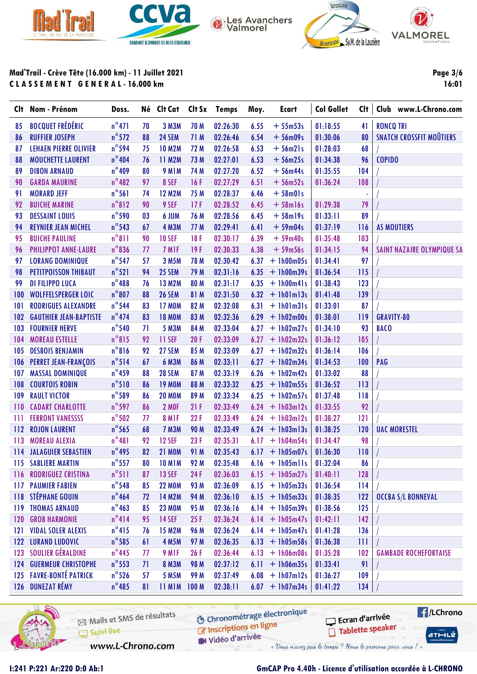





VALMOREL

**Page 3/6** 

16:01

Mad'Trail - Crève Tête (16.000 km) - 11 Juillet 2021 CLASSEMENT GENERAL-16.000 km

|     | Clt Nom - Prénom               | Doss.           |    | Né Clt Cat        |             | <b>Clt Sx</b> Temps | Moy. | <b>Ecart</b>      | <b>Col Gollet</b> | Cl <sub>†</sub> | Club www.L-Chrono.com           |
|-----|--------------------------------|-----------------|----|-------------------|-------------|---------------------|------|-------------------|-------------------|-----------------|---------------------------------|
| 85  | <b>BOCQUET FRÉDÉRIC</b>        | $n^{\circ}471$  | 70 | 3 M3M             | 70 M        | 02:26:30            | 6.55 | $+55m53s$         | 01:18:55          | 41              | <b>RONCQ TRI</b>                |
| 86  | <b>RUFFIER JOSEPH</b>          | $n^{\circ}572$  | 88 | 24 SEM            | 71 M        | 02:26:46            | 6.54 | $+56$ m09s        | 01:30:06          | 80              | <b>SNATCH CROSSFIT MOÛTIERS</b> |
| 87  | <b>LEHAEN PIERRE OLIVIER</b>   | $n^{\circ}$ 594 | 75 | <b>10 M2M</b>     | 72 M        | 02:26:58            | 6.53 | $+56m21s$         | 01:28:03          | 68              |                                 |
| 88  | <b>MOUCHETTE LAURENT</b>       | $n^{\circ}404$  | 76 | 11 M2M            | 73 M        | 02:27:01            | 6.53 | $+56m25s$         | 01:34:38          | 96              | <b>COPIDO</b>                   |
| 89  | <b>DIBON ARNAUD</b>            | $n^{\circ}$ 409 | 80 | <b>9 M1M</b>      | 74 M        | 02:27:20            | 6.52 | $+56m44s$         | 01:35:55          | 104             |                                 |
| 90  | <b>GARDA MAURINE</b>           | $n^{\circ}482$  | 97 | 8 SEF             | 16F         | 02:27:29            | 6.51 | $+56m52s$         | 01:36:24          | 108             |                                 |
| 91  | <b>MORARD JEFF</b>             | $n^{\circ}$ 561 | 74 | <b>12 M2M</b>     | 75 M        | 02:28:37            | 6.46 | $+58m01s$         |                   | ÷               |                                 |
| 92  | <b>BUICHE MARINE</b>           | $n^{\circ}812$  | 90 | 9 SEF             | 17F         | 02:28:52            | 6.45 | $+58$ ml6s        | 01:29:38          | 79              |                                 |
| 93  | <b>DESSAINT LOUIS</b>          | $n^{\circ}$ 590 | 03 | 6 JUM             | 76 M        | 02:28:56            | 6.45 | $+58$ ml9s        | 01:33:11          | 89              |                                 |
| 94  | <b>REYNIER JEAN MICHEL</b>     | $n^{\circ}$ 543 | 67 | <b>4 M3M</b>      | 77 M        | 02:29:41            | 6.41 | $+59m04s$         | 01:37:19          | 116             | <b>AS MOUTIERS</b>              |
| 95  | <b>BUICHE PAULINE</b>          | $n^{\circ}811$  | 90 | <b>10 SEF</b>     | 18F         | 02:30:17            | 6.39 | $+59m40s$         | 01:35:48          | 103             |                                 |
| 96  | PHILIPPOT ANNE-LAURE           | $n^{\circ}$ 836 | 77 | 7 MIF             | 19F         | 02:30:33            | 6.38 | $+59m56s$         | 01:34:15          | 94              | SAINT NAZAIRE OLYMPIQUE SA      |
| 97  | <b>LORANG DOMINIQUE</b>        | $n^{\circ}$ 547 | 57 | 3 M5M             | 78 M        | 02:30:42            | 6.37 | $+ 1h00m05s$      | 01:34:41          | 97              |                                 |
| 98  | PETITPOISSON THIBAUT           | $n^{\circ}521$  | 94 | 25 SEM            | 79 M        | 02:31:16            | 6.35 | $+ 1h00m39s$      | 01:36:54          | 115             |                                 |
| 99  | <b>DI FILIPPO LUCA</b>         | $n^{\circ}$ 488 | 76 | <b>13 M2M</b>     | 80 M        | 02:31:17            | 6.35 | $+$ 1h00 $m41s$   | 01:38:43          | 123             |                                 |
| 100 | <b>WOLFFELSPERGER LOIC</b>     | $n^{\circ}807$  | 88 | <b>26 SEM</b>     | 81 M        | 02:31:50            | 6.32 | $+$ 1h01m13s      | 01:41:48          | 139             |                                 |
| 101 | <b>RODRIGUES ALEXANDRE</b>     | $n^{\circ}$ 544 | 83 | <b>17 MOM</b>     | 82 M        | 02:32:08            | 6.31 | $+$ 1h01m31s      | 01:33:01          | 87              |                                 |
| 102 | <b>GAUTHIER JEAN-BAPTISTE</b>  | $n^{\circ}$ 474 | 83 | <b>18 MOM</b>     | 83 M        | 02:32:36            | 6.29 | $+ 1h02m00s$      | 01:38:01          | 119             | <b>GRAVITY-80</b>               |
| 103 | <b>FOURNIER HERVE</b>          | $n^{\circ}$ 540 | 71 | 5 M3M             | 84 M        | 02:33:04            | 6.27 | $+ 1h02m27s$      | 01:34:10          | 93              | <b>BACO</b>                     |
| 104 | <b>MOREAU ESTELLE</b>          | $n^{\circ}815$  | 92 | 11 SEF            | 20F         | 02:33:09            | 6.27 | $+1h02m32s$       | 01:36:12          | 105             |                                 |
| 105 | <b>DESBOIS BENJAMIN</b>        | $n^{\circ}816$  | 92 | 27 SEM            | 85 M        | 02:33:09            | 6.27 | $+ 1h02m32s$      | 01:36:14          | 106             |                                 |
| 106 | <b>PERRET JEAN-FRANÇOIS</b>    | $n^{\circ}514$  | 67 | <b>6 M3M</b>      | 86 M        | 02:33:11            | 6.27 | $+1h02m34s$       | 01:34:53          | 100             | PAG                             |
| 107 | <b>MASSAL DOMINIQUE</b>        | $n^{\circ}$ 459 | 88 | <b>28 SEM</b>     | 87 M        | 02:33:19            | 6.26 | $+1h02m42s$       | 01:33:02          | 88              |                                 |
| 108 | <b>COURTOIS ROBIN</b>          | $n^{\circ}510$  | 86 | <b>19 MOM</b>     | 88 M        | 02:33:32            | 6.25 | $+1h02m55s$       | 01:36:52          | 113             |                                 |
| 109 | <b>RAULT VICTOR</b>            | $n^{\circ}$ 589 | 86 | <b>20 MOM</b>     | 89 M        | 02:33:34            | 6.25 | $+ 1h02m57s$      | 01:37:48          | 118             |                                 |
| 110 | <b>CADART CHARLOTTE</b>        | $n^{\circ}$ 597 | 86 | <b>2 MOF</b>      | 21F         | 02:33:49            | 6.24 | $+$ 1h03m12s      | 01:33:55          | 92              |                                 |
| 111 | <b>FERRONT VANESSSS</b>        | $n^{\circ}$ 502 | 77 | 8 M <sub>IF</sub> | 22F         | 02:33:49            | 6.24 | $+$ 1h03m12s      | 01:38:27          | 121             |                                 |
| 112 | <b>ROJON LAURENT</b>           | $n^{\circ}$ 565 | 68 | <b>7 M3M</b>      | 90 M        | 02:33:49            | 6.24 | $+$ 1h03m13s      | 01:38:25          | 120             | <b>UAC MORESTEL</b>             |
| 113 | <b>MOREAU ALEXIA</b>           | $n^{\circ}481$  | 92 | <b>12 SEF</b>     | 23F         | 02:35:31            | 6.17 | $+1h04m54s$       | 01:34:47          | 98              |                                 |
|     | <b>114 JALAGUIER SEBASTIEN</b> | $n^{\circ}$ 495 | 82 | <b>21 MOM</b>     | 91 M        | 02:35:43            |      | $6.17 + 1h05m07s$ | 01:36:30          | 110             |                                 |
|     | <b>115 SABLIERE MARTIN</b>     | $n^{\circ}$ 557 | 80 | <b>10 M1M</b>     | 92 M        | 02:35:48            | 6.16 | $+$ 1h05m11s      | 01:32:04          | 86              |                                 |
| 116 | <b>RODRIGUEZ CRISTINA</b>      | $n^{\circ}511$  | 87 | <b>13 SEF</b>     | 24F         | 02:36:03            |      | $6.15 + 1h05m27s$ | 01:40:11          | 128             |                                 |
| 117 | <b>PAUMIER FABIEN</b>          | $n^{\circ}$ 548 | 85 | <b>22 MOM</b>     | 93 M        | 02:36:09            | 6.15 | $+1h05m33s$       | 01:36:54          | 114             |                                 |
|     | <b>118 STÉPHANE GOUIN</b>      | $n^{\circ}$ 464 | 72 | 14 M2M            | 94 M        | 02:36:10            | 6.15 | $+1h05m33s$       | 01:38:35          | 122             | <b>OCCBA S/L BONNEVAL</b>       |
| 119 | <b>THOMAS ARNAUD</b>           | $n^{\circ}$ 463 | 85 | <b>23 MOM</b>     | 95 M        | 02:36:16            | 6.14 | $+1h05m39s$       | 01:38:56          | 125             |                                 |
| 120 | <b>GROB HARMONIE</b>           | $n^{\circ}414$  | 95 | <b>14 SEF</b>     | 25F         | 02:36:24            | 6.14 | $+ 1h05m47s$      | 01:42:11          | 142             |                                 |
| 121 | <b>VIDAL SOLER ALEXIS</b>      | $n^{\circ}415$  | 76 | <b>15 M2M</b>     | 96 M        | 02:36:24            | 6.14 | $+1h05m47s$       | 01:41:28          | 136             |                                 |
|     | 122 LURAND LUDOVIC             | $n^{\circ}$ 585 | 61 | <b>4 M5M</b>      | 97 M        | 02:36:35            | 6.13 | $+1h05m58s$       | 01:36:38          | 111             |                                 |
|     | 123 SOULIER GÉRALDINE          | $n^{\circ}$ 445 | 77 | 9 M <sub>IF</sub> | 26F         | 02:36:44            | 6.13 | $+1h06m08s$       | 01:35:28          | 102             | <b>GAMBADE ROCHEFORTAISE</b>    |
|     | <b>124 GUERMEUR CHRISTOPHE</b> | $n^{\circ}$ 553 | 71 | <b>8 M3M</b>      | <b>98 M</b> | 02:37:12            | 6.11 | $+ 1h06m35s$      | 01:33:41          | 91              |                                 |
|     | 125 FAVRE-BONTÉ PATRICK        | $n^{\circ}$ 526 | 57 | <b>5 M5M</b>      | 99 M        | 02:37:49            | 6.08 | $+$ 1h07m12s      | 01:36:27          | 109             |                                 |
|     | 126 DUNEZAT RÉMY               | $n^{\circ}$ 485 | 81 | 11 M1M 100 M      |             | 02:38:11            | 6.07 | $+1h07m34s$       | 01:41:22          | 134             |                                 |
|     |                                |                 |    |                   |             |                     |      |                   |                   |                 |                                 |



Mails et SMS de résultats Suivi live

**6** Chronométrage électronique Inscriptions en ligne

Vidéo d'arrivée

**F**/LChrono Ecran d'arrivée Tablette speaker

 $ATHLZ$ 

www.L-Chrono.com

« Vous n'avez pas le temps ? Nous le prenons pour vous / »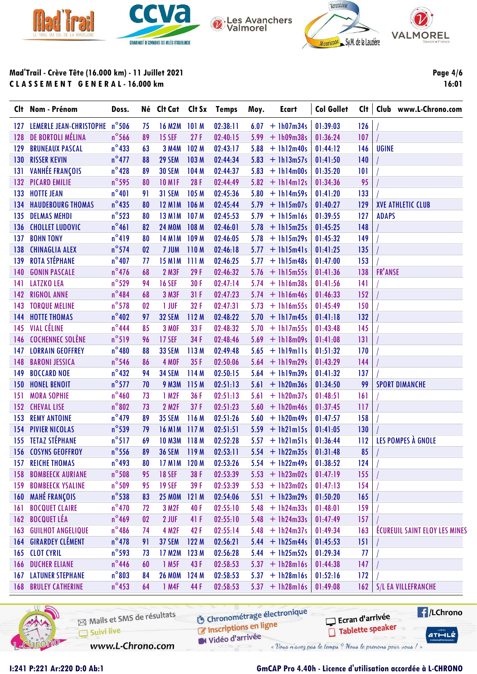





VALMOREL

Page 4/6

16:01

Mad'Trail - Crève Tête (16.000 km) - 11 Juillet 2021 CLASSEMENT GENERAL-16.000 km

| $n^{\circ}$ 506<br><b>16 M2M</b><br>02:38:11<br>$+ 1h07m34s$<br>01:39:03<br>126<br><b>LEMERLE JEAN-CHRISTOPHE</b><br>101M<br>6.07<br>75<br>127<br>DE BORTOLI MÉLINA<br>$n^{\circ}$ 566<br>27F<br>89<br><b>15 SEF</b><br>02:40:15<br>5.99<br>$+1h09m38s$<br>107<br>128<br>01:36:24<br>$n^{\circ}433$<br>102 M<br><b>BRUNEAUX PASCAL</b><br>63<br><b>3 M4M</b><br>02:43:17<br>5.88<br>01:44:12<br>146<br><b>UGINE</b><br>129<br>$+1h12m40s$<br>$n^{\circ}477$<br><b>RISSER KEVIN</b><br>88<br>29 SEM<br>103 M<br>02:44:34<br>5.83<br>140<br>130<br>$+$ 1h13m57s<br>01:41:50<br><b>VANHÉE FRANÇOIS</b><br>$n^{\circ}$ 428<br>89<br><b>30 SEM</b><br>104 M<br>101<br>131<br>02:44:37<br>5.83<br>$+ 1h14m00s$<br>01:35:20<br>$n^{\circ}$ 595<br>28F<br>02:44:49<br>95<br>132 PICARD EMILIE<br>80<br><b>10 M1F</b><br>$5.82 + 1h14m12s$<br>01:34:36<br>$n^{\circ}401$<br>31 SEM<br>105 M<br>133<br><b>HOTTE JEAN</b><br>91<br>02:45:36<br>5.80<br>$+ 1h14m59s$<br>01:41:20<br>133<br>$n^{\circ}$ 435<br>80<br>129<br><b>HAUDEBOURG THOMAS</b><br><b>12 M1M</b><br>106 M<br>02:45:44<br>5.79<br>01:40:27<br><b>XVE ATHLETIC CLUB</b><br>134<br>$+$ 1h15m07s<br>$n^{\circ}$ 523<br><b>DELMAS MEHDI</b><br>107 M<br>127<br><b>ADAPS</b><br>135<br>80<br><b>13 M1M</b><br>02:45:53<br>5.79<br>$+1h15m16s$<br>01:39:55<br>$n^{\circ}461$<br>148<br><b>CHOLLET LUDOVIC</b><br>82<br><b>24 MOM</b><br>108 M<br>02:46:01<br>5.78<br>$+$ 1h15m25s<br>01:45:25<br>136<br>$n^{\circ}419$<br>149<br><b>BOHN TONY</b><br>80<br><b>14 M1M</b><br>109 M<br>02:46:05<br>5.78<br>137<br>$+ 1h15m29s$<br>01:45:32<br>$n^{\circ}$ 574<br><b>CHINAGLIA ALEX</b><br>02<br>7 JUM<br>110M<br>02:46:18<br>01:41:25<br>135<br>138<br>5.77<br>$+$ 1h15m41s<br><b>ROTA STÉPHANE</b><br>$n^{\circ}$ 407<br><b>15 M1M</b><br>111 M<br>02:46:25<br>5.77<br>153<br>139<br>77<br>$+$ 1h15m48s<br>01:47:00<br>$n^{\circ}$ 476<br>2 M3F<br><b>FR'ANSE</b><br>68<br>29F<br>138<br>140<br><b>GONIN PASCALE</b><br>02:46:32<br>5.76<br>$+1h15m55s$<br>01:41:36<br>$n^{\circ}$ 529<br><b>LATZKO LEA</b><br>94<br><b>16 SEF</b><br>30 F<br>141<br>02:47:14<br>5.74<br>$+$ 1h16m38s<br>01:41:56<br>141<br>$n^{\circ}484$<br>68<br>3 M3F<br>152<br><b>RIGNOL ANNE</b><br>31F<br>02:47:23<br>5.74<br>$142$<br>$+$ 1h16m46s<br>01:46:33<br>$n^{\circ}$ 578<br>1 JUF<br>32F<br><b>TORQUE MELINE</b><br>02<br>02:47:31<br>5.73<br>01:45:49<br>150<br>$+ 1h16m55s$<br>143<br>$n^{\circ}402$<br><b>32 SEM</b><br>112M<br>02:48:22<br>132<br><b>HOTTE THOMAS</b><br>97<br>5.70<br>$+ 1h17m45s$<br>01:41:18<br>144<br><b>VIAL CÉLINE</b><br>$n^{\circ}$ 444<br>85<br>33 F<br>145<br>3 MOF<br>02:48:32<br>5.70<br>01:43:48<br>145<br>$+1h17m55s$<br>$n^{\circ}519$<br><b>COCHENNEC SOLÈNE</b><br><b>17 SEF</b><br>34F<br>131<br>96<br>02:48:46<br>5.69<br>146<br>$+1h18m09s$<br>01:41:08 | Clt Nom - Prénom | Doss. | Né Clt Cat Clt Sx Temps |  | Moy. | Ecart | <b>Col Gollet</b> | Clt   Club www.L-Chrono.com          |
|----------------------------------------------------------------------------------------------------------------------------------------------------------------------------------------------------------------------------------------------------------------------------------------------------------------------------------------------------------------------------------------------------------------------------------------------------------------------------------------------------------------------------------------------------------------------------------------------------------------------------------------------------------------------------------------------------------------------------------------------------------------------------------------------------------------------------------------------------------------------------------------------------------------------------------------------------------------------------------------------------------------------------------------------------------------------------------------------------------------------------------------------------------------------------------------------------------------------------------------------------------------------------------------------------------------------------------------------------------------------------------------------------------------------------------------------------------------------------------------------------------------------------------------------------------------------------------------------------------------------------------------------------------------------------------------------------------------------------------------------------------------------------------------------------------------------------------------------------------------------------------------------------------------------------------------------------------------------------------------------------------------------------------------------------------------------------------------------------------------------------------------------------------------------------------------------------------------------------------------------------------------------------------------------------------------------------------------------------------------------------------------------------------------------------------------------------------------------------------------------------------------------------------------------------------------------------------------------------------------------------------------------------------------------------------------------------------------------------------------------------------------------------------------------------------------------------------|------------------|-------|-------------------------|--|------|-------|-------------------|--------------------------------------|
|                                                                                                                                                                                                                                                                                                                                                                                                                                                                                                                                                                                                                                                                                                                                                                                                                                                                                                                                                                                                                                                                                                                                                                                                                                                                                                                                                                                                                                                                                                                                                                                                                                                                                                                                                                                                                                                                                                                                                                                                                                                                                                                                                                                                                                                                                                                                                                                                                                                                                                                                                                                                                                                                                                                                                                                                                                  |                  |       |                         |  |      |       |                   |                                      |
|                                                                                                                                                                                                                                                                                                                                                                                                                                                                                                                                                                                                                                                                                                                                                                                                                                                                                                                                                                                                                                                                                                                                                                                                                                                                                                                                                                                                                                                                                                                                                                                                                                                                                                                                                                                                                                                                                                                                                                                                                                                                                                                                                                                                                                                                                                                                                                                                                                                                                                                                                                                                                                                                                                                                                                                                                                  |                  |       |                         |  |      |       |                   |                                      |
|                                                                                                                                                                                                                                                                                                                                                                                                                                                                                                                                                                                                                                                                                                                                                                                                                                                                                                                                                                                                                                                                                                                                                                                                                                                                                                                                                                                                                                                                                                                                                                                                                                                                                                                                                                                                                                                                                                                                                                                                                                                                                                                                                                                                                                                                                                                                                                                                                                                                                                                                                                                                                                                                                                                                                                                                                                  |                  |       |                         |  |      |       |                   |                                      |
|                                                                                                                                                                                                                                                                                                                                                                                                                                                                                                                                                                                                                                                                                                                                                                                                                                                                                                                                                                                                                                                                                                                                                                                                                                                                                                                                                                                                                                                                                                                                                                                                                                                                                                                                                                                                                                                                                                                                                                                                                                                                                                                                                                                                                                                                                                                                                                                                                                                                                                                                                                                                                                                                                                                                                                                                                                  |                  |       |                         |  |      |       |                   |                                      |
|                                                                                                                                                                                                                                                                                                                                                                                                                                                                                                                                                                                                                                                                                                                                                                                                                                                                                                                                                                                                                                                                                                                                                                                                                                                                                                                                                                                                                                                                                                                                                                                                                                                                                                                                                                                                                                                                                                                                                                                                                                                                                                                                                                                                                                                                                                                                                                                                                                                                                                                                                                                                                                                                                                                                                                                                                                  |                  |       |                         |  |      |       |                   |                                      |
|                                                                                                                                                                                                                                                                                                                                                                                                                                                                                                                                                                                                                                                                                                                                                                                                                                                                                                                                                                                                                                                                                                                                                                                                                                                                                                                                                                                                                                                                                                                                                                                                                                                                                                                                                                                                                                                                                                                                                                                                                                                                                                                                                                                                                                                                                                                                                                                                                                                                                                                                                                                                                                                                                                                                                                                                                                  |                  |       |                         |  |      |       |                   |                                      |
|                                                                                                                                                                                                                                                                                                                                                                                                                                                                                                                                                                                                                                                                                                                                                                                                                                                                                                                                                                                                                                                                                                                                                                                                                                                                                                                                                                                                                                                                                                                                                                                                                                                                                                                                                                                                                                                                                                                                                                                                                                                                                                                                                                                                                                                                                                                                                                                                                                                                                                                                                                                                                                                                                                                                                                                                                                  |                  |       |                         |  |      |       |                   |                                      |
|                                                                                                                                                                                                                                                                                                                                                                                                                                                                                                                                                                                                                                                                                                                                                                                                                                                                                                                                                                                                                                                                                                                                                                                                                                                                                                                                                                                                                                                                                                                                                                                                                                                                                                                                                                                                                                                                                                                                                                                                                                                                                                                                                                                                                                                                                                                                                                                                                                                                                                                                                                                                                                                                                                                                                                                                                                  |                  |       |                         |  |      |       |                   |                                      |
|                                                                                                                                                                                                                                                                                                                                                                                                                                                                                                                                                                                                                                                                                                                                                                                                                                                                                                                                                                                                                                                                                                                                                                                                                                                                                                                                                                                                                                                                                                                                                                                                                                                                                                                                                                                                                                                                                                                                                                                                                                                                                                                                                                                                                                                                                                                                                                                                                                                                                                                                                                                                                                                                                                                                                                                                                                  |                  |       |                         |  |      |       |                   |                                      |
|                                                                                                                                                                                                                                                                                                                                                                                                                                                                                                                                                                                                                                                                                                                                                                                                                                                                                                                                                                                                                                                                                                                                                                                                                                                                                                                                                                                                                                                                                                                                                                                                                                                                                                                                                                                                                                                                                                                                                                                                                                                                                                                                                                                                                                                                                                                                                                                                                                                                                                                                                                                                                                                                                                                                                                                                                                  |                  |       |                         |  |      |       |                   |                                      |
|                                                                                                                                                                                                                                                                                                                                                                                                                                                                                                                                                                                                                                                                                                                                                                                                                                                                                                                                                                                                                                                                                                                                                                                                                                                                                                                                                                                                                                                                                                                                                                                                                                                                                                                                                                                                                                                                                                                                                                                                                                                                                                                                                                                                                                                                                                                                                                                                                                                                                                                                                                                                                                                                                                                                                                                                                                  |                  |       |                         |  |      |       |                   |                                      |
|                                                                                                                                                                                                                                                                                                                                                                                                                                                                                                                                                                                                                                                                                                                                                                                                                                                                                                                                                                                                                                                                                                                                                                                                                                                                                                                                                                                                                                                                                                                                                                                                                                                                                                                                                                                                                                                                                                                                                                                                                                                                                                                                                                                                                                                                                                                                                                                                                                                                                                                                                                                                                                                                                                                                                                                                                                  |                  |       |                         |  |      |       |                   |                                      |
|                                                                                                                                                                                                                                                                                                                                                                                                                                                                                                                                                                                                                                                                                                                                                                                                                                                                                                                                                                                                                                                                                                                                                                                                                                                                                                                                                                                                                                                                                                                                                                                                                                                                                                                                                                                                                                                                                                                                                                                                                                                                                                                                                                                                                                                                                                                                                                                                                                                                                                                                                                                                                                                                                                                                                                                                                                  |                  |       |                         |  |      |       |                   |                                      |
|                                                                                                                                                                                                                                                                                                                                                                                                                                                                                                                                                                                                                                                                                                                                                                                                                                                                                                                                                                                                                                                                                                                                                                                                                                                                                                                                                                                                                                                                                                                                                                                                                                                                                                                                                                                                                                                                                                                                                                                                                                                                                                                                                                                                                                                                                                                                                                                                                                                                                                                                                                                                                                                                                                                                                                                                                                  |                  |       |                         |  |      |       |                   |                                      |
|                                                                                                                                                                                                                                                                                                                                                                                                                                                                                                                                                                                                                                                                                                                                                                                                                                                                                                                                                                                                                                                                                                                                                                                                                                                                                                                                                                                                                                                                                                                                                                                                                                                                                                                                                                                                                                                                                                                                                                                                                                                                                                                                                                                                                                                                                                                                                                                                                                                                                                                                                                                                                                                                                                                                                                                                                                  |                  |       |                         |  |      |       |                   |                                      |
|                                                                                                                                                                                                                                                                                                                                                                                                                                                                                                                                                                                                                                                                                                                                                                                                                                                                                                                                                                                                                                                                                                                                                                                                                                                                                                                                                                                                                                                                                                                                                                                                                                                                                                                                                                                                                                                                                                                                                                                                                                                                                                                                                                                                                                                                                                                                                                                                                                                                                                                                                                                                                                                                                                                                                                                                                                  |                  |       |                         |  |      |       |                   |                                      |
|                                                                                                                                                                                                                                                                                                                                                                                                                                                                                                                                                                                                                                                                                                                                                                                                                                                                                                                                                                                                                                                                                                                                                                                                                                                                                                                                                                                                                                                                                                                                                                                                                                                                                                                                                                                                                                                                                                                                                                                                                                                                                                                                                                                                                                                                                                                                                                                                                                                                                                                                                                                                                                                                                                                                                                                                                                  |                  |       |                         |  |      |       |                   |                                      |
|                                                                                                                                                                                                                                                                                                                                                                                                                                                                                                                                                                                                                                                                                                                                                                                                                                                                                                                                                                                                                                                                                                                                                                                                                                                                                                                                                                                                                                                                                                                                                                                                                                                                                                                                                                                                                                                                                                                                                                                                                                                                                                                                                                                                                                                                                                                                                                                                                                                                                                                                                                                                                                                                                                                                                                                                                                  |                  |       |                         |  |      |       |                   |                                      |
|                                                                                                                                                                                                                                                                                                                                                                                                                                                                                                                                                                                                                                                                                                                                                                                                                                                                                                                                                                                                                                                                                                                                                                                                                                                                                                                                                                                                                                                                                                                                                                                                                                                                                                                                                                                                                                                                                                                                                                                                                                                                                                                                                                                                                                                                                                                                                                                                                                                                                                                                                                                                                                                                                                                                                                                                                                  |                  |       |                         |  |      |       |                   |                                      |
|                                                                                                                                                                                                                                                                                                                                                                                                                                                                                                                                                                                                                                                                                                                                                                                                                                                                                                                                                                                                                                                                                                                                                                                                                                                                                                                                                                                                                                                                                                                                                                                                                                                                                                                                                                                                                                                                                                                                                                                                                                                                                                                                                                                                                                                                                                                                                                                                                                                                                                                                                                                                                                                                                                                                                                                                                                  |                  |       |                         |  |      |       |                   |                                      |
| $n^{\circ}480$<br><b>LORRAIN GEOFFREY</b><br>88<br>33 SEM<br>113 M<br>02:49:48<br>5.65<br>01:51:32<br>170<br>147<br>$+$ $lh19m11s$                                                                                                                                                                                                                                                                                                                                                                                                                                                                                                                                                                                                                                                                                                                                                                                                                                                                                                                                                                                                                                                                                                                                                                                                                                                                                                                                                                                                                                                                                                                                                                                                                                                                                                                                                                                                                                                                                                                                                                                                                                                                                                                                                                                                                                                                                                                                                                                                                                                                                                                                                                                                                                                                                               |                  |       |                         |  |      |       |                   |                                      |
| $n^{\circ}$ 546<br>4 MOF<br>144<br><b>BARONI JESSICA</b><br>86<br>35F<br>02:50:06<br>5.64<br>$+ 1h19m29s$<br>01:43:29<br>148                                                                                                                                                                                                                                                                                                                                                                                                                                                                                                                                                                                                                                                                                                                                                                                                                                                                                                                                                                                                                                                                                                                                                                                                                                                                                                                                                                                                                                                                                                                                                                                                                                                                                                                                                                                                                                                                                                                                                                                                                                                                                                                                                                                                                                                                                                                                                                                                                                                                                                                                                                                                                                                                                                     |                  |       |                         |  |      |       |                   |                                      |
| $n^{\circ}432$<br><b>34 SEM</b><br>114 M<br><b>BOCCARD NOE</b><br>94<br>02:50:15<br>5.64<br>$+1h19m39s$<br>01:41:32<br>137<br>149                                                                                                                                                                                                                                                                                                                                                                                                                                                                                                                                                                                                                                                                                                                                                                                                                                                                                                                                                                                                                                                                                                                                                                                                                                                                                                                                                                                                                                                                                                                                                                                                                                                                                                                                                                                                                                                                                                                                                                                                                                                                                                                                                                                                                                                                                                                                                                                                                                                                                                                                                                                                                                                                                                |                  |       |                         |  |      |       |                   |                                      |
| $n^{\circ}$ 577<br>70<br><b>9 M3M</b><br>115 M<br>02:51:13<br>5.61<br>$+ 1h20m36s$<br>01:34:50<br>99<br><b>SPORT DIMANCHE</b><br><b>HONEL BENOIT</b><br>150                                                                                                                                                                                                                                                                                                                                                                                                                                                                                                                                                                                                                                                                                                                                                                                                                                                                                                                                                                                                                                                                                                                                                                                                                                                                                                                                                                                                                                                                                                                                                                                                                                                                                                                                                                                                                                                                                                                                                                                                                                                                                                                                                                                                                                                                                                                                                                                                                                                                                                                                                                                                                                                                      |                  |       |                         |  |      |       |                   |                                      |
| $n^{\circ}$ 460<br>161<br>73<br>1 M2F<br>36 F<br>5.61<br>$+ 1h20m37s$<br>01:48:51<br><b>MORA SOPHIE</b><br>02:51:13<br>151                                                                                                                                                                                                                                                                                                                                                                                                                                                                                                                                                                                                                                                                                                                                                                                                                                                                                                                                                                                                                                                                                                                                                                                                                                                                                                                                                                                                                                                                                                                                                                                                                                                                                                                                                                                                                                                                                                                                                                                                                                                                                                                                                                                                                                                                                                                                                                                                                                                                                                                                                                                                                                                                                                       |                  |       |                         |  |      |       |                   |                                      |
| $n^{\circ}802$<br><b>2 M2F</b><br>37F<br>73<br>02:51:23<br>5.60<br>$+$ 1h20m46s<br>117<br>152<br><b>CHEVAL LISE</b><br>01:37:45                                                                                                                                                                                                                                                                                                                                                                                                                                                                                                                                                                                                                                                                                                                                                                                                                                                                                                                                                                                                                                                                                                                                                                                                                                                                                                                                                                                                                                                                                                                                                                                                                                                                                                                                                                                                                                                                                                                                                                                                                                                                                                                                                                                                                                                                                                                                                                                                                                                                                                                                                                                                                                                                                                  |                  |       |                         |  |      |       |                   |                                      |
| $n^{\circ}$ 479<br>116M<br><b>REMY ANTOINE</b><br>89<br><b>35 SEM</b><br>02:51:26<br>5.60<br>$+ 1h20m49s$<br>158<br>153<br>01:47:57                                                                                                                                                                                                                                                                                                                                                                                                                                                                                                                                                                                                                                                                                                                                                                                                                                                                                                                                                                                                                                                                                                                                                                                                                                                                                                                                                                                                                                                                                                                                                                                                                                                                                                                                                                                                                                                                                                                                                                                                                                                                                                                                                                                                                                                                                                                                                                                                                                                                                                                                                                                                                                                                                              |                  |       |                         |  |      |       |                   |                                      |
| $n^{\circ}$ 539<br><b>PIVIER NICOLAS</b><br><b>16 M1M</b><br>117M<br>$+$ 1h21m15s<br>130<br>154<br>79<br>02:51:51<br>5.59<br>01:41:05                                                                                                                                                                                                                                                                                                                                                                                                                                                                                                                                                                                                                                                                                                                                                                                                                                                                                                                                                                                                                                                                                                                                                                                                                                                                                                                                                                                                                                                                                                                                                                                                                                                                                                                                                                                                                                                                                                                                                                                                                                                                                                                                                                                                                                                                                                                                                                                                                                                                                                                                                                                                                                                                                            |                  |       |                         |  |      |       |                   |                                      |
| <b>TETAZ STÉPHANE</b><br>$n^{\circ}517$<br>LES POMPES À GNOLE<br>69<br>112<br>155<br><b>10 M3M</b><br>118M<br>02:52:28<br>5.57<br>$+$ 1h21m51s<br>01:36:44                                                                                                                                                                                                                                                                                                                                                                                                                                                                                                                                                                                                                                                                                                                                                                                                                                                                                                                                                                                                                                                                                                                                                                                                                                                                                                                                                                                                                                                                                                                                                                                                                                                                                                                                                                                                                                                                                                                                                                                                                                                                                                                                                                                                                                                                                                                                                                                                                                                                                                                                                                                                                                                                       |                  |       |                         |  |      |       |                   |                                      |
| $n^{\circ}$ 556<br>85<br><b>156 COSYNS GEOFFROY</b><br>89<br><b>36 SEM</b><br>119 M<br>02:53:11<br>5.54<br>$+1h22m35s$<br>01:31:48                                                                                                                                                                                                                                                                                                                                                                                                                                                                                                                                                                                                                                                                                                                                                                                                                                                                                                                                                                                                                                                                                                                                                                                                                                                                                                                                                                                                                                                                                                                                                                                                                                                                                                                                                                                                                                                                                                                                                                                                                                                                                                                                                                                                                                                                                                                                                                                                                                                                                                                                                                                                                                                                                               |                  |       |                         |  |      |       |                   |                                      |
| 157<br><b>REICHE THOMAS</b><br>$n^{\circ}$ 493<br>80<br><b>17 M1M</b><br>120 <sub>M</sub><br>02:53:26<br>5.54<br>$+1h22m49s$<br>01:38:52<br>124                                                                                                                                                                                                                                                                                                                                                                                                                                                                                                                                                                                                                                                                                                                                                                                                                                                                                                                                                                                                                                                                                                                                                                                                                                                                                                                                                                                                                                                                                                                                                                                                                                                                                                                                                                                                                                                                                                                                                                                                                                                                                                                                                                                                                                                                                                                                                                                                                                                                                                                                                                                                                                                                                  |                  |       |                         |  |      |       |                   |                                      |
| $n^{\circ}$ 508<br>155<br><b>BOMBEECK AURIANE</b><br><b>18 SEF</b><br>38 F<br>02:53:39<br>$5.53 + 1h23m02s$<br>01:47:19<br>158<br>95                                                                                                                                                                                                                                                                                                                                                                                                                                                                                                                                                                                                                                                                                                                                                                                                                                                                                                                                                                                                                                                                                                                                                                                                                                                                                                                                                                                                                                                                                                                                                                                                                                                                                                                                                                                                                                                                                                                                                                                                                                                                                                                                                                                                                                                                                                                                                                                                                                                                                                                                                                                                                                                                                             |                  |       |                         |  |      |       |                   |                                      |
| $n^{\circ}$ 509<br><b>BOMBEECK YSALINE</b><br><b>19 SEF</b><br>$+ 1h23m02s$<br>01:47:13<br>39 F<br>02:53:39<br>154<br>159<br>95<br>5.53                                                                                                                                                                                                                                                                                                                                                                                                                                                                                                                                                                                                                                                                                                                                                                                                                                                                                                                                                                                                                                                                                                                                                                                                                                                                                                                                                                                                                                                                                                                                                                                                                                                                                                                                                                                                                                                                                                                                                                                                                                                                                                                                                                                                                                                                                                                                                                                                                                                                                                                                                                                                                                                                                          |                  |       |                         |  |      |       |                   |                                      |
| <b>MAHÉ FRANÇOIS</b><br>$n^{\circ}$ 538<br><b>25 MOM</b><br>121 M<br>$+ 1h23m29s$<br>165<br>160<br>83<br>02:54:06<br>5.51<br>01:50:20                                                                                                                                                                                                                                                                                                                                                                                                                                                                                                                                                                                                                                                                                                                                                                                                                                                                                                                                                                                                                                                                                                                                                                                                                                                                                                                                                                                                                                                                                                                                                                                                                                                                                                                                                                                                                                                                                                                                                                                                                                                                                                                                                                                                                                                                                                                                                                                                                                                                                                                                                                                                                                                                                            |                  |       |                         |  |      |       |                   |                                      |
| $n^{\circ}$ 470<br><b>BOCQUET CLAIRE</b><br>72<br>3 M2F<br>40 F<br>5.48<br>$+$ 1h24m33s<br>01:48:01<br>159<br>161<br>02:55:10                                                                                                                                                                                                                                                                                                                                                                                                                                                                                                                                                                                                                                                                                                                                                                                                                                                                                                                                                                                                                                                                                                                                                                                                                                                                                                                                                                                                                                                                                                                                                                                                                                                                                                                                                                                                                                                                                                                                                                                                                                                                                                                                                                                                                                                                                                                                                                                                                                                                                                                                                                                                                                                                                                    |                  |       |                         |  |      |       |                   |                                      |
| $n^{\circ}$ 469<br><b>BOCQUET LÉA</b><br>41 F<br>162<br>02<br>2 JUF<br>02:55:10<br>5.48<br>$+$ 1h24m33s<br>01:47:49<br>157                                                                                                                                                                                                                                                                                                                                                                                                                                                                                                                                                                                                                                                                                                                                                                                                                                                                                                                                                                                                                                                                                                                                                                                                                                                                                                                                                                                                                                                                                                                                                                                                                                                                                                                                                                                                                                                                                                                                                                                                                                                                                                                                                                                                                                                                                                                                                                                                                                                                                                                                                                                                                                                                                                       |                  |       |                         |  |      |       |                   |                                      |
| <b>GUILHOT ANGELIQUE</b><br>$n^{\circ}$ 486<br><b>4 M2F</b><br>42F<br>74<br>02:55:14<br>5.48<br>$+$ 1h24m37s<br>01:49:34<br>163<br>163                                                                                                                                                                                                                                                                                                                                                                                                                                                                                                                                                                                                                                                                                                                                                                                                                                                                                                                                                                                                                                                                                                                                                                                                                                                                                                                                                                                                                                                                                                                                                                                                                                                                                                                                                                                                                                                                                                                                                                                                                                                                                                                                                                                                                                                                                                                                                                                                                                                                                                                                                                                                                                                                                           |                  |       |                         |  |      |       |                   | <b>ÉCUREUIL SAINT ELOY LES MINES</b> |
| <b>164 GIRARDEY CLÉMENT</b><br>$n^{\circ}478$<br>122 M<br>91<br>37 SEM<br>02:56:21<br>5.44<br>$+$ 1h25m44s<br>01:45:53<br>151                                                                                                                                                                                                                                                                                                                                                                                                                                                                                                                                                                                                                                                                                                                                                                                                                                                                                                                                                                                                                                                                                                                                                                                                                                                                                                                                                                                                                                                                                                                                                                                                                                                                                                                                                                                                                                                                                                                                                                                                                                                                                                                                                                                                                                                                                                                                                                                                                                                                                                                                                                                                                                                                                                    |                  |       |                         |  |      |       |                   |                                      |
| $n^{\circ}$ 593<br><b>CLOT CYRIL</b><br><b>17 M2M</b><br>123 M<br>5.44<br>$+$ 1h25m52s<br>01:29:34<br>165<br>02:56:28<br>77<br>73                                                                                                                                                                                                                                                                                                                                                                                                                                                                                                                                                                                                                                                                                                                                                                                                                                                                                                                                                                                                                                                                                                                                                                                                                                                                                                                                                                                                                                                                                                                                                                                                                                                                                                                                                                                                                                                                                                                                                                                                                                                                                                                                                                                                                                                                                                                                                                                                                                                                                                                                                                                                                                                                                                |                  |       |                         |  |      |       |                   |                                      |
| $n^{\circ}$ 446<br>1 M5F<br>43F<br><b>DUCHER ELIANE</b><br>$+$ 1h28m16s<br>147<br>60<br>02:58:53<br>5.37<br>01:44:38<br>166                                                                                                                                                                                                                                                                                                                                                                                                                                                                                                                                                                                                                                                                                                                                                                                                                                                                                                                                                                                                                                                                                                                                                                                                                                                                                                                                                                                                                                                                                                                                                                                                                                                                                                                                                                                                                                                                                                                                                                                                                                                                                                                                                                                                                                                                                                                                                                                                                                                                                                                                                                                                                                                                                                      |                  |       |                         |  |      |       |                   |                                      |
| $n^{\circ}803$<br><b>26 MOM</b><br>$+$ 1h28m16s<br>172<br>167<br><b>LATUNER STEPHANE</b><br>84<br>124 M<br>02:58:53<br>5.37<br>01:52:16                                                                                                                                                                                                                                                                                                                                                                                                                                                                                                                                                                                                                                                                                                                                                                                                                                                                                                                                                                                                                                                                                                                                                                                                                                                                                                                                                                                                                                                                                                                                                                                                                                                                                                                                                                                                                                                                                                                                                                                                                                                                                                                                                                                                                                                                                                                                                                                                                                                                                                                                                                                                                                                                                          |                  |       |                         |  |      |       |                   |                                      |
| $n^{\circ}$ 453<br><b>168 BRULEY CATHERINE</b><br>1 M4F<br>44 F<br>02:58:53<br>$+$ 1h28m16s<br>162<br>S/L EA VILLEFRANCHE<br>64<br>5.37<br>01:49:08                                                                                                                                                                                                                                                                                                                                                                                                                                                                                                                                                                                                                                                                                                                                                                                                                                                                                                                                                                                                                                                                                                                                                                                                                                                                                                                                                                                                                                                                                                                                                                                                                                                                                                                                                                                                                                                                                                                                                                                                                                                                                                                                                                                                                                                                                                                                                                                                                                                                                                                                                                                                                                                                              |                  |       |                         |  |      |       |                   |                                      |



**6** Chronométrage électronique Mails et SMS de résultats Inscriptions en ligne Suivi live Vidéo d'arrivée www.L-Chrono.com « Vous n'avez pas le temps ? Nous le prenons pour vous / »

**F**/LChrono Ecran d'arrivée Tablette speaker

 $ATHLZ$ 

## **GmCAP Pro 4.40h - Licence d'utilisation accordée à L-CHRONO**

I:241 P:221 Ar:220 D:0 Ab:1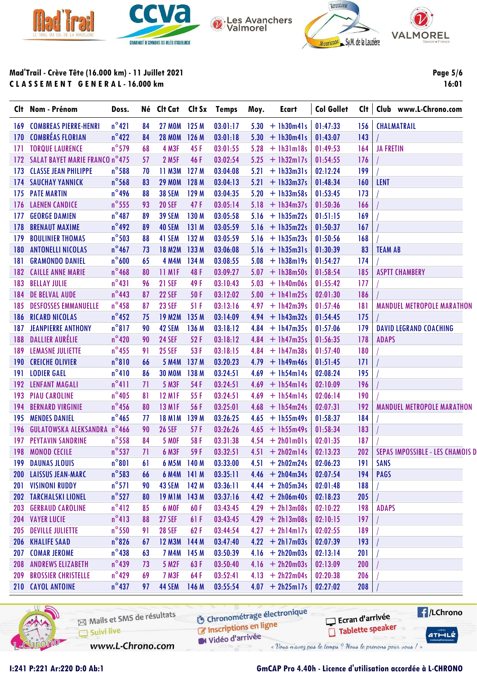





VALMOREL

**Page 5/6** 

16:01

Mad'Trail - Crève Tête (16.000 km) - 11 Juillet 2021 CLASSEMENT GENERAL-16.000 km

|                  | Clt Nom - Prénom                   | Doss.           |    | Né Clt Cat Clt Sx Temps |                  |          | Moy. | Ecart             | <b>Col Gollet</b> | Clt |                  | Club www.L-Chrono.com             |
|------------------|------------------------------------|-----------------|----|-------------------------|------------------|----------|------|-------------------|-------------------|-----|------------------|-----------------------------------|
|                  | <b>169 COMBREAS PIERRE-HENRI</b>   | $n^{\circ}421$  | 84 | 27 MOM 125 M            |                  | 03:01:17 |      | $5.30 + 1h30m41s$ | 01:47:33          | 156 |                  | <b>CHALMATRAIL</b>                |
|                  | 170 COMBRÉAS FLORIAN               | $n^{\circ}422$  | 84 | <b>28 MOM</b>           | 126 M            | 03:01:18 |      | $5.30 + 1h30m41s$ | 01:43:07          | 143 |                  |                                   |
| 171              | <b>TORQUE LAURENCE</b>             | $n^{\circ}$ 579 | 68 | 4 M3F                   | 45F              | 03:01:55 |      | $5.28 + 1h31m18s$ | 01:49:53          | 164 | <b>JA FRETIN</b> |                                   |
|                  | 172 SALAT BAYET MARIE FRANCO n°475 |                 | 57 | 2 M <sub>5F</sub>       | 46 F             | 03:02:54 |      | $5.25 + 1h32m17s$ | 01:54:55          | 176 |                  |                                   |
| 173              | <b>CLASSE JEAN PHILIPPE</b>        | $n^{\circ}$ 588 | 70 | <b>11 M3M</b>           | 127 <sub>M</sub> | 03:04:08 | 5.21 | $+$ 1h33m31s      | 02:12:24          | 199 |                  |                                   |
|                  | <b>174 SAUCHAY YANNICK</b>         | $n^{\circ}$ 568 | 83 | <b>29 MOM</b>           | 128 M            | 03:04:13 |      | $5.21 + 1h33m37s$ | 01:48:34          | 160 | <b>LENT</b>      |                                   |
| 175              | <b>PATE MARTIN</b>                 | $n^{\circ}$ 496 | 88 | <b>38 SEM</b>           | 129 M            | 03:04:35 |      | $5.20 + 1h33m58s$ | 01:53:45          | 173 |                  |                                   |
|                  | 176 LAENEN CANDICE                 | $n^{\circ}$ 555 | 93 | <b>20 SEF</b>           | 47 F             | 03:05:14 |      | $5.18 + 1h34m37s$ | 01:50:36          | 166 |                  |                                   |
| 177              | <b>GEORGE DAMIEN</b>               | $n^{\circ}487$  | 89 | <b>39 SEM</b>           | 130 M            | 03:05:58 |      | $5.16 + 1h35m22s$ | 01:51:15          | 169 |                  |                                   |
| 178              | <b>BRENAUT MAXIME</b>              | $n^{\circ}$ 492 | 89 | 40 SEM                  | 131 M            | 03:05:59 |      | $5.16 + 1h35m22s$ | 01:50:37          | 167 |                  |                                   |
| 179              | <b>BOULINIER THOMAS</b>            | $n^{\circ}$ 503 | 88 | 41 SEM                  | 132 M            | 03:05:59 |      | $5.16 + 1h35m23s$ | 01:50:56          | 168 |                  |                                   |
| 180              | <b>ANTONELLI NICOLAS</b>           | $n^{\circ}467$  | 73 | <b>18 M2M</b>           | 133 M            | 03:06:08 |      | $5.16 + 1h35m31s$ | 01:30:39          | 83  | <b>TEAM AB</b>   |                                   |
| 181              | <b>GRAMONDO DANIEL</b>             | $n^{\circ}600$  | 65 | <b>4 M4M</b>            | 134 M            | 03:08:55 |      | $5.08 + 1h38m19s$ | 01:54:27          | 174 |                  |                                   |
|                  | <b>182 CAILLE ANNE MARIE</b>       | $n^{\circ}$ 468 | 80 | 11 MIF                  | 48 F             | 03:09:27 |      | $5.07 + 1h38m50s$ | 01:58:54          | 185 |                  | <b>ASPTT CHAMBERY</b>             |
| 183              | <b>BELLAY JULIE</b>                | $n^{\circ}431$  | 96 | <b>21 SEF</b>           | 49 F             | 03:10:43 |      | $5.03 + 1h40m06s$ | 01:55:42          | 177 |                  |                                   |
| 184              | <b>DE BELVAL AUDE</b>              | $n^{\circ}$ 443 | 87 | <b>22 SEF</b>           | 50 F             | 03:12:02 |      | $5.00 + 1h41m25s$ | 02:01:30          | 186 |                  |                                   |
| 185              | <b>DESFOSSES EMMANUELLE</b>        | $n^{\circ}$ 458 | 87 | <b>23 SEF</b>           | 51F              | 03:13:16 |      | $4.97 + 1h42m39s$ | 01:57:46          | 181 |                  | <b>MANDUEL METROPOLE MARATHON</b> |
| 186              | <b>RICARD NICOLAS</b>              | $n^{\circ}$ 452 | 75 | <b>19 M2M</b>           | 135 M            | 03:14:09 |      | $4.94 + 1h43m32s$ | 01:54:45          | 175 |                  |                                   |
| 187              | <b>JEANPIERRE ANTHONY</b>          | $n^{\circ}817$  | 90 | 42 SEM                  | 136 M            | 03:18:12 |      | $4.84 + 1h47m35s$ | 01:57:06          | 179 |                  | <b>DAVID LEGRAND COACHING</b>     |
| 188              | <b>DALLIER AURÉLIE</b>             | $n^{\circ}$ 420 | 90 | <b>24 SEF</b>           | 52 F             | 03:18:12 |      | $4.84 + 1h47m35s$ | 01:56:35          | 178 | <b>ADAPS</b>     |                                   |
| 189              | <b>LEMASNE JULIETTE</b>            | $n^{\circ}$ 455 | 91 | <b>25 SEF</b>           | 53 F             | 03:18:15 |      | $4.84 + 1h47m38s$ | 01:57:40          | 180 |                  |                                   |
| 190 <sub>1</sub> | <b>CREICHE OLIVIER</b>             | $n^{\circ}810$  | 66 | <b>5 M4M</b>            | 137 M            | 03:20:23 |      | $4.79 + 1h49m46s$ | 01:51:45          | 171 |                  |                                   |
| 191              | <b>LODIER GAEL</b>                 | $n^{\circ}410$  | 86 | <b>30 MOM</b>           | 138 M            | 03:24:51 |      | $4.69 + 1h54m14s$ | 02:08:24          | 195 |                  |                                   |
|                  | 192 LENFANT MAGALI                 | $n^{\circ}411$  | 71 | <b>5 M3F</b>            | 54 F             | 03:24:51 |      | $4.69 + 1h54m14s$ | 02:10:09          | 196 |                  |                                   |
| 193              | <b>PIAU CAROLINE</b>               | $n^{\circ}$ 405 | 81 | <b>12 MIF</b>           | 55 F             | 03:24:51 |      | $4.69 + 1h54m14s$ | 02:06:14          | 190 |                  |                                   |
| 194              | <b>BERNARD VIRGINIE</b>            | $n^{\circ}$ 456 | 80 | <b>13 M1F</b>           | 56 F             | 03:25:01 |      | $4.68 + 1h54m24s$ | 02:07:31          | 192 |                  | <b>MANDUEL METROPOLE MARATHON</b> |
| 195              | <b>MENDES DANIEL</b>               | $n^{\circ}$ 465 | 77 | <b>18 M1M</b>           | 139 M            | 03:26:25 |      | $4.65 + 1h55m49s$ | 01:58:37          | 184 |                  |                                   |
| 196              | <b>GULATOWSKA ALEKSANDRA n°466</b> |                 | 90 | <b>26 SEF</b>           | 57 F             | 03:26:26 |      | $4.65 + 1h55m49s$ | 01:58:34          | 183 |                  |                                   |
| 197              | <b>PEYTAVIN SANDRINE</b>           | $n^{\circ}$ 558 | 84 | <b>5 MOF</b>            | 58F              | 03:31:38 |      | $4.54 + 2h01m01s$ | 02:01:35          | 187 |                  |                                   |
|                  | 198 MONOD CECILE                   | $n^{\circ}$ 537 | 71 | <b>6 M3F</b>            | 59 F             | 03:32:51 |      | $4.51 + 2h02m14s$ | 02:13:23          | 202 |                  | SEPAS IMPOSSIBLE - LES CHAMOIS D  |
|                  | <b>199 DAUNAS JLOUIS</b>           | $n^{\circ}801$  | 61 | 6 M5M 140 M             |                  | 03:33:00 |      | $4.51 + 2h02m24s$ | 02:06:23          | 191 | <b>SANS</b>      |                                   |
|                  | 200 LAISSUS JEAN-MARC              | $n^{\circ}$ 583 | 66 | 6 M4M 141 M             |                  | 03:35:11 |      | $4.46 + 2h04m34s$ | 02:07:54          | 194 | <b>PAGS</b>      |                                   |
|                  | <b>201 VISINONI RUDDY</b>          | $n^{\circ}571$  | 90 | 43 SEM                  | 142M             | 03:36:11 |      | $4.44 + 2h05m34s$ | 02:01:48          | 188 |                  |                                   |
|                  | <b>202 TARCHALSKI LIONEL</b>       | $n^{\circ}$ 527 | 80 | <b>19 M1M</b>           | 143M             | 03:37:16 |      | $4.42 + 2h06m40s$ | 02:18:23          | 205 |                  |                                   |
|                  | <b>203 GERBAUD CAROLINE</b>        | $n^{\circ}412$  | 85 | 6 MOF                   | 60F              | 03:43:45 |      | $4.29 + 2h13m08s$ | 02:10:22          | 198 | <b>ADAPS</b>     |                                   |
|                  | <b>204 VAYER LUCIE</b>             | $n^{\circ}413$  | 88 | <b>27 SEF</b>           | 61 F             | 03:43:45 |      | $4.29 + 2h13m08s$ | 02:10:15          | 197 |                  |                                   |
| 205              | <b>DEVILLE JULIETTE</b>            | $n^{\circ}$ 550 | 91 | <b>28 SEF</b>           | 62F              | 03:44:54 |      | $4.27 + 2h14m17s$ | 02:02:55          | 189 |                  |                                   |
|                  | <b>206 KHALIFE SAAD</b>            | $n^{\circ}$ 826 | 67 | 12 M3M                  | 144 M            | 03:47:40 |      | $4.22 + 2h17m03s$ | 02:07:39          | 193 |                  |                                   |
| 207              | <b>COMAR JEROME</b>                | $n^{\circ}$ 438 | 63 | <b>7 M4M</b>            | 145 M            | 03:50:39 |      | $4.16 + 2h20m03s$ | 02:13:14          | 201 |                  |                                   |
| 208              | <b>ANDREWS ELIZABETH</b>           | $n^{\circ}$ 439 | 73 | <b>5 M2F</b>            | 63F              | 03:50:40 |      | $4.16 + 2h20m03s$ | 02:13:09          | 200 |                  |                                   |
| 209              | <b>BROSSIER CHRISTELLE</b>         | $n^{\circ}429$  | 69 | <b>7 M3F</b>            | 64 F             | 03:52:41 |      | $4.13 + 2h22m04s$ | 02:20:38          | 206 |                  |                                   |
|                  | 210 CAYOL ANTOINE                  | $n^{\circ}$ 437 | 97 | 44 SEM                  | 146 M            | 03:55:54 |      | $4.07 + 2h25m17s$ | 02:27:02          | 208 |                  |                                   |
|                  |                                    |                 |    |                         |                  |          |      |                   |                   |     |                  |                                   |



Mails et SMS de résultats Suivi live www.L-Chrono.com

**6** Chronométrage électronique Inscriptions en ligne

« Vous n'avez pas le temps ? Nous le prenons pour vous / »

**F**/LChrono Ecran d'arrivée Tablette speaker

 $ATHLZ$ 

Vidéo d'arrivée

I:241 P:221 Ar:220 D:0 Ab:1